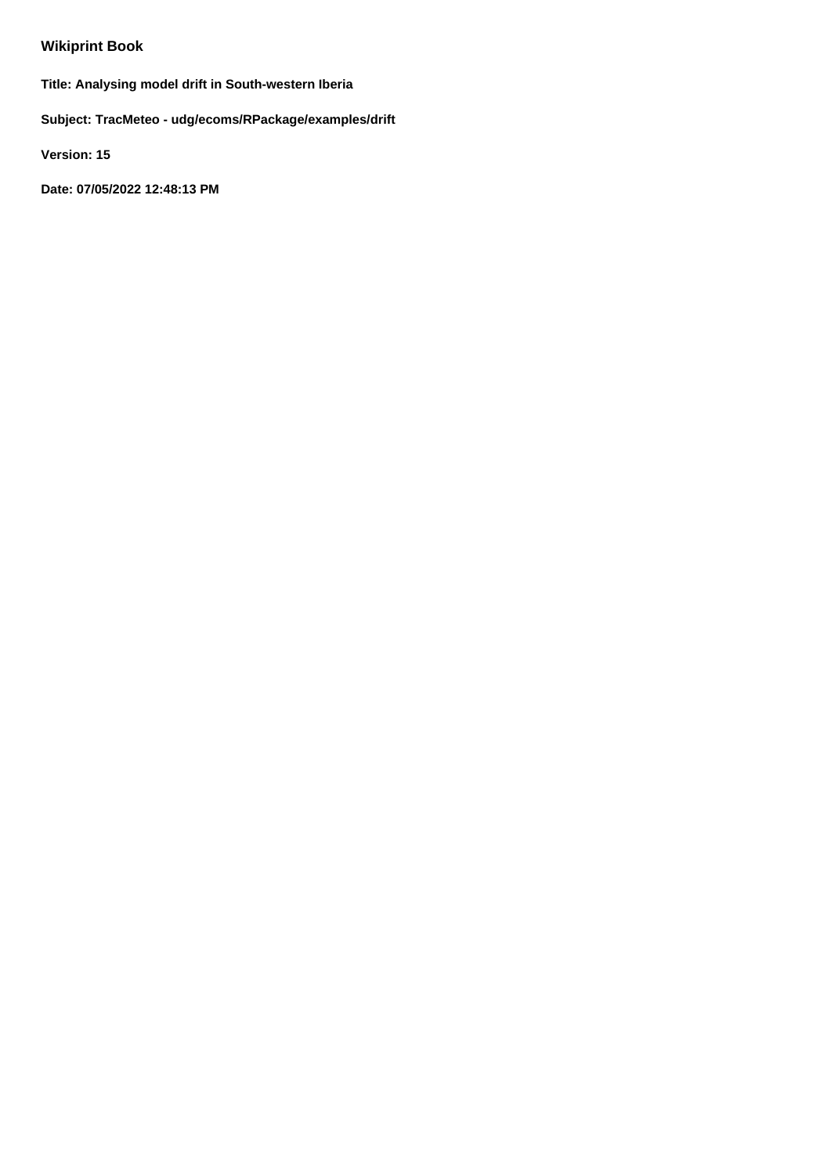## **Wikiprint Book**

**Title: Analysing model drift in South-western Iberia**

**Subject: TracMeteo - udg/ecoms/RPackage/examples/drift**

**Version: 15**

**Date: 07/05/2022 12:48:13 PM**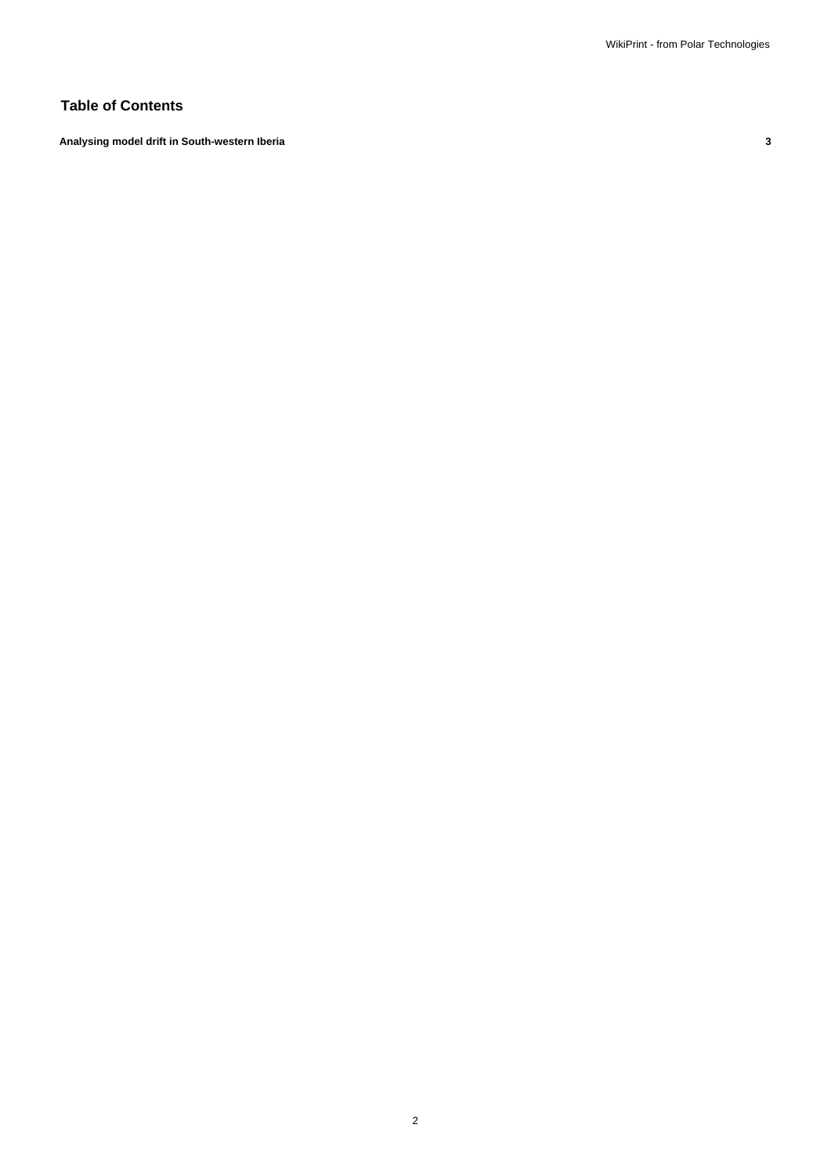## **Table of Contents**

**Analysing model drift in South-western Iberia 3**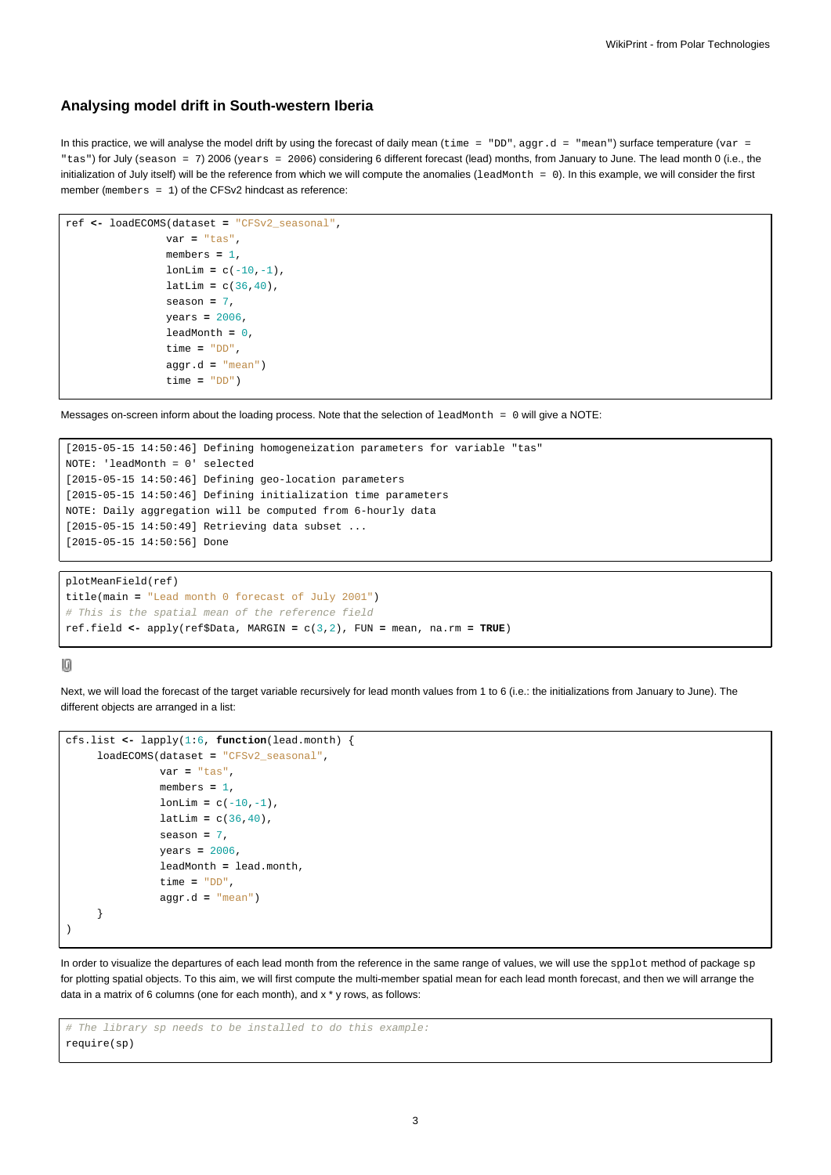## **Analysing model drift in South-western Iberia**

In this practice, we will analyse the model drift by using the forecast of daily mean (time = "DD", aggr.d = "mean") surface temperature (var = "tas") for July (season = 7) 2006 (years = 2006) considering 6 different forecast (lead) months, from January to June. The lead month 0 (i.e., the initialization of July itself) will be the reference from which we will compute the anomalies (leadMonth = 0). In this example, we will consider the first member (members = 1) of the CFSv2 hindcast as reference:

```
ref <- loadECOMS(dataset = "CFSv2_seasonal",
                var = "tas",
                members = 1,
                lonLim = c(-10,-1),
                latLim = c(36, 40),
                season = 7,
                years = 2006,
                leadMonth = 0,
                time = "DD",
                aggr.d = "mean")
                time = "DD")
```
Messages on-screen inform about the loading process. Note that the selection of leadMonth = 0 will give a NOTE:

```
[2015-05-15 14:50:46] Defining homogeneization parameters for variable "tas"
NOTE: 'leadMonth = 0' selected
[2015-05-15 14:50:46] Defining geo-location parameters
[2015-05-15 14:50:46] Defining initialization time parameters
NOTE: Daily aggregation will be computed from 6-hourly data
[2015-05-15 14:50:49] Retrieving data subset ...
[2015-05-15 14:50:56] Done
```

```
plotMeanField(ref)
title(main = "Lead month 0 forecast of July 2001")
# This is the spatial mean of the reference field
ref.field <- apply(ref$Data, MARGIN = c(3,2), FUN = mean, na.rm = TRUE)
```
## $[0] % \begin{center} % \includegraphics[width=\linewidth]{imagesSupplemental_3.png} % \end{center} % \caption { % Our method is used for the image. % Let us use the image. % Let us use the image. % Let us use the image. % Let us use the image. % Let us use the image. % Let us use the image. % Let us use the image. % Let us use the image. % Let us use the image. % Let us use the image. % Let us use the image. % Let us use the image. % Let us use the image. % Let us use the image. % Let us use the image. % Let us use the image. % Let us use the image. % Let us use the image. % Let us use the image. % Let us use the image. % Let us use the image. % Let us use the image. % Let us use the image. % Let us use the image. % Let us use the image.$

Next, we will load the forecast of the target variable recursively for lead month values from 1 to 6 (i.e.: the initializations from January to June). The different objects are arranged in a list:

```
cfs.list <- lapply(1:6, function(lead.month) {
     loadECOMS(dataset = "CFSv2_seasonal",
               var = "tas",
               members = 1,
               lonLim = c(-10,-1),
               latLim = c(36, 40),
               season = 7,
               years = 2006,
               leadMonth = lead.month,
               time = "DD",
               aggr.d = "mean")
     }
\lambda
```
In order to visualize the departures of each lead month from the reference in the same range of values, we will use the spplot method of package sp for plotting spatial objects. To this aim, we will first compute the multi-member spatial mean for each lead month forecast, and then we will arrange the data in a matrix of 6 columns (one for each month), and x \* y rows, as follows:

```
# The library sp needs to be installed to do this example:
require(sp)
```